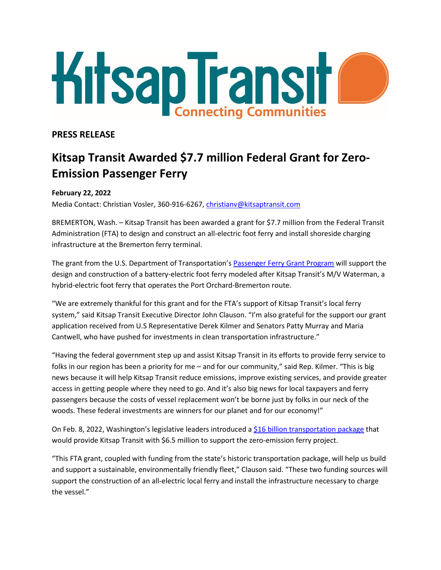

## **PRESS RELEASE**

# **Kitsap Transit Awarded \$7.7 million Federal Grant for Zero-Emission Passenger Ferry**

### **February 22, 2022**

Media Contact: Christian Vosler, 360-916-6267, [christianv@kitsaptransit.com](mailto:christianv@kitsaptransit.com)

BREMERTON, Wash. – Kitsap Transit has been awarded a grant for \$7.7 million from the Federal Transit Administration (FTA) to design and construct an all-electric foot ferry and install shoreside charging infrastructure at the Bremerton ferry terminal.

The grant from the U.S. Department of Transportation's [Passenger Ferry Grant Program](https://www.transit.dot.gov/about/news/us-department-transportation-announces-more-45-million-passenger-ferry-grant-awards-11) will support the design and construction of a battery-electric foot ferry modeled after Kitsap Transit's M/V Waterman, a hybrid-electric foot ferry that operates the Port Orchard-Bremerton route.

"We are extremely thankful for this grant and for the FTA's support of Kitsap Transit's local ferry system," said Kitsap Transit Executive Director John Clauson. "I'm also grateful for the support our grant application received from U.S Representative Derek Kilmer and Senators Patty Murray and Maria Cantwell, who have pushed for investments in clean transportation infrastructure."

"Having the federal government step up and assist Kitsap Transit in its efforts to provide ferry service to folks in our region has been a priority for me – and for our community," said Rep. Kilmer. "This is big news because it will help Kitsap Transit reduce emissions, improve existing services, and provide greater access in getting people where they need to go. And it's also big news for local taxpayers and ferry passengers because the costs of vessel replacement won't be borne just by folks in our neck of the woods. These federal investments are winners for our planet and for our economy!"

On Feb. 8, 2022, Washington's legislative leaders introduced a [\\$16 billion transportation package](https://www.kitsaptransit.com/uploads/pdf/news-releases/20220208release_wa-transportation-package.pdf) that would provide Kitsap Transit with \$6.5 million to support the zero-emission ferry project.

"This FTA grant, coupled with funding from the state's historic transportation package, will help us build and support a sustainable, environmentally friendly fleet," Clauson said. "These two funding sources will support the construction of an all-electric local ferry and install the infrastructure necessary to charge the vessel."